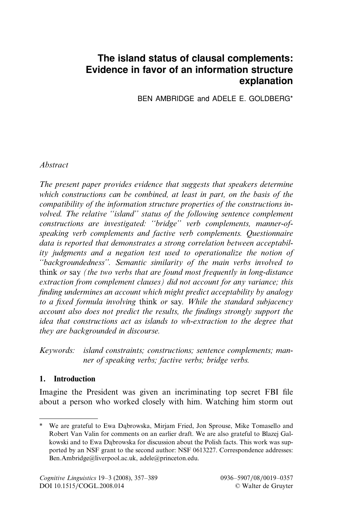# The island status of clausal complements: Evidence in favor of an information structure explanation

BEN AMBRIDGE and ADELE E. GOLDBERG\*

## Abstract

The present paper provides evidence that suggests that speakers determine which constructions can be combined, at least in part, on the basis of the compatibility of the information structure properties of the constructions involved. The relative ''island'' status of the following sentence complement constructions are investigated: ''bridge'' verb complements, manner-ofspeaking verb complements and factive verb complements. Questionnaire data is reported that demonstrates a strong correlation between acceptability judgments and a negation test used to operationalize the notion of ''backgroundedness''. Semantic similarity of the main verbs involved to think or say (the two verbs that are found most frequently in long-distance extraction from complement clauses) did not account for any variance; this finding undermines an account which might predict acceptability by analogy to a fixed formula involving think or say. While the standard subjacency account also does not predict the results, the findings strongly support the idea that constructions act as islands to wh-extraction to the degree that they are backgrounded in discourse.

Keywords: island constraints; constructions; sentence complements; manner of speaking verbs; factive verbs; bridge verbs.

## 1. Introduction

Imagine the President was given an incriminating top secret FBI file about a person who worked closely with him. Watching him storm out

We are grateful to Ewa Dąbrowska, Mirjam Fried, Jon Sprouse, Mike Tomasello and Robert Van Valin for comments on an earlier draft. We are also grateful to Blazej Galkowski and to Ewa Dąbrowska for discussion about the Polish facts. This work was supported by an NSF grant to the second author: NSF 0613227. Correspondence addresses: Ben.Ambridge@liverpool.ac.uk, adele@princeton.edu.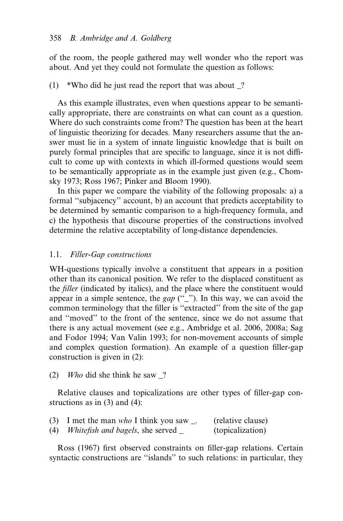of the room, the people gathered may well wonder who the report was about. And yet they could not formulate the question as follows:

## (1) \*Who did he just read the report that was about \_?

As this example illustrates, even when questions appear to be semantically appropriate, there are constraints on what can count as a question. Where do such constraints come from? The question has been at the heart of linguistic theorizing for decades. Many researchers assume that the answer must lie in a system of innate linguistic knowledge that is built on purely formal principles that are specific to language, since it is not difficult to come up with contexts in which ill-formed questions would seem to be semantically appropriate as in the example just given (e.g., Chomsky 1973; Ross 1967; Pinker and Bloom 1990).

In this paper we compare the viability of the following proposals: a) a formal ''subjacency'' account, b) an account that predicts acceptability to be determined by semantic comparison to a high-frequency formula, and c) the hypothesis that discourse properties of the constructions involved determine the relative acceptability of long-distance dependencies.

### 1.1. Filler-Gap constructions

WH-questions typically involve a constituent that appears in a position other than its canonical position. We refer to the displaced constituent as the filler (indicated by italics), and the place where the constituent would appear in a simple sentence, the gap  $(\cdot \cdot \cdot)$ . In this way, we can avoid the common terminology that the filler is ''extracted'' from the site of the gap and ''moved'' to the front of the sentence, since we do not assume that there is any actual movement (see e.g., Ambridge et al. 2006, 2008a; Sag and Fodor 1994; Van Valin 1993; for non-movement accounts of simple and complex question formation). An example of a question filler-gap construction is given in (2):

## (2) Who did she think he saw  $\frac{1}{2}$ ?

Relative clauses and topicalizations are other types of filler-gap constructions as in (3) and (4):

|     | $(3)$ I met the man <i>who</i> I think you saw | (relative clause) |
|-----|------------------------------------------------|-------------------|
| (4) | Whitefish and bagels, she served               | (topicalization)  |

Ross (1967) first observed constraints on filler-gap relations. Certain syntactic constructions are ''islands'' to such relations: in particular, they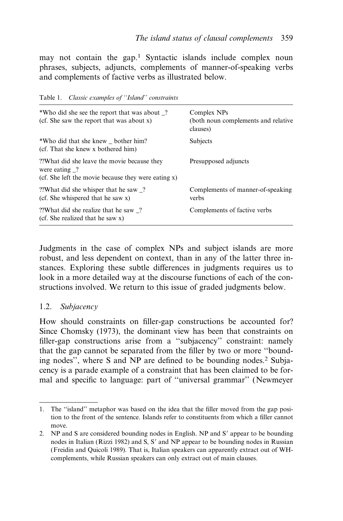may not contain the gap.<sup>1</sup> Syntactic islands include complex noun phrases, subjects, adjuncts, complements of manner-of-speaking verbs and complements of factive verbs as illustrated below.

| *Who did she see the report that was about _?<br>(cf. She saw the report that was about x)                         | Complex NPs<br>(both noun complements and relative<br>clauses) |
|--------------------------------------------------------------------------------------------------------------------|----------------------------------------------------------------|
| *Who did that she knew _ bother him?<br>(cf. That she knew x bothered him)                                         | Subjects                                                       |
| ??What did she leave the movie because they<br>were eating?<br>(cf. She left the movie because they were eating x) | Presupposed adjuncts                                           |
| ??What did she whisper that he saw?<br>(cf. She unbiased that he saw x)                                            | Complements of manner-of-speaking<br>verbs                     |
| ? What did she realize that he saw?<br>(cf. She realized that he saw x)                                            | Complements of factive verbs                                   |

Table 1. Classic examples of ''Island'' constraints

Judgments in the case of complex NPs and subject islands are more robust, and less dependent on context, than in any of the latter three instances. Exploring these subtle differences in judgments requires us to look in a more detailed way at the discourse functions of each of the constructions involved. We return to this issue of graded judgments below.

### 1.2. Subjacency

How should constraints on filler-gap constructions be accounted for? Since Chomsky (1973), the dominant view has been that constraints on filler-gap constructions arise from a ''subjacency'' constraint: namely that the gap cannot be separated from the filler by two or more ''bounding nodes", where S and NP are defined to be bounding nodes.<sup>2</sup> Subjacency is a parade example of a constraint that has been claimed to be formal and specific to language: part of ''universal grammar'' (Newmeyer

<sup>1.</sup> The ''island'' metaphor was based on the idea that the filler moved from the gap position to the front of the sentence. Islands refer to constituents from which a filler cannot move.

<sup>2.</sup> NP and S are considered bounding nodes in English. NP and S' appear to be bounding nodes in Italian (Rizzi 1982) and S, S<sup> $\prime$ </sup> and NP appear to be bounding nodes in Russian (Freidin and Quicoli 1989). That is, Italian speakers can apparently extract out of WHcomplements, while Russian speakers can only extract out of main clauses.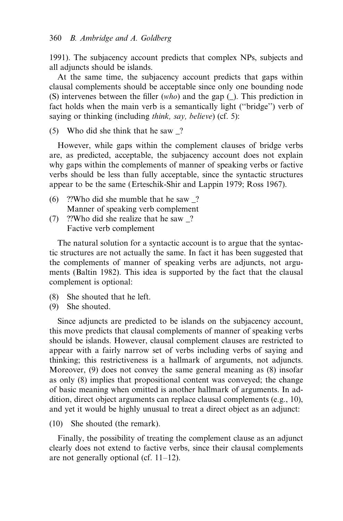1991). The subjacency account predicts that complex NPs, subjects and all adjuncts should be islands.

At the same time, the subjacency account predicts that gaps within clausal complements should be acceptable since only one bounding node (S) intervenes between the filler  $(who)$  and the gap ( $\cdot$ ). This prediction in fact holds when the main verb is a semantically light (''bridge'') verb of saying or thinking (including *think, say, believe*) (cf. 5):

(5) Who did she think that he saw \_?

However, while gaps within the complement clauses of bridge verbs are, as predicted, acceptable, the subjacency account does not explain why gaps within the complements of manner of speaking verbs or factive verbs should be less than fully acceptable, since the syntactic structures appear to be the same (Erteschik-Shir and Lappin 1979; Ross 1967).

- (6) ??Who did she mumble that he saw \_? Manner of speaking verb complement
- (7) ??Who did she realize that he saw \_? Factive verb complement

The natural solution for a syntactic account is to argue that the syntactic structures are not actually the same. In fact it has been suggested that the complements of manner of speaking verbs are adjuncts, not arguments (Baltin 1982). This idea is supported by the fact that the clausal complement is optional:

- (8) She shouted that he left.
- (9) She shouted.

Since adjuncts are predicted to be islands on the subjacency account, this move predicts that clausal complements of manner of speaking verbs should be islands. However, clausal complement clauses are restricted to appear with a fairly narrow set of verbs including verbs of saying and thinking; this restrictiveness is a hallmark of arguments, not adjuncts. Moreover, (9) does not convey the same general meaning as (8) insofar as only (8) implies that propositional content was conveyed; the change of basic meaning when omitted is another hallmark of arguments. In addition, direct object arguments can replace clausal complements (e.g., 10), and yet it would be highly unusual to treat a direct object as an adjunct:

(10) She shouted (the remark).

Finally, the possibility of treating the complement clause as an adjunct clearly does not extend to factive verbs, since their clausal complements are not generally optional (cf. 11–12).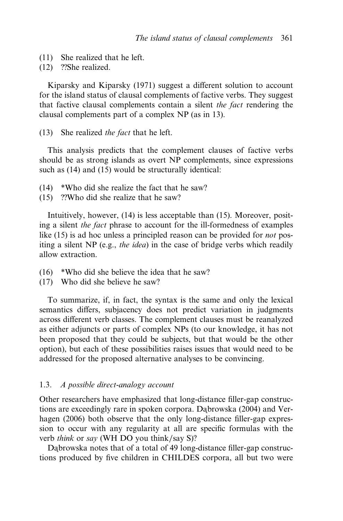- (11) She realized that he left.
- (12) ??She realized.

Kiparsky and Kiparsky (1971) suggest a different solution to account for the island status of clausal complements of factive verbs. They suggest that factive clausal complements contain a silent the fact rendering the clausal complements part of a complex NP (as in 13).

(13) She realized the fact that he left.

This analysis predicts that the complement clauses of factive verbs should be as strong islands as overt NP complements, since expressions such as (14) and (15) would be structurally identical:

- (14) \*Who did she realize the fact that he saw?
- (15) ??Who did she realize that he saw?

Intuitively, however, (14) is less acceptable than (15). Moreover, positing a silent the fact phrase to account for the ill-formedness of examples like (15) is ad hoc unless a principled reason can be provided for *not* positing a silent NP (e.g., the idea) in the case of bridge verbs which readily allow extraction.

- (16) \*Who did she believe the idea that he saw?
- (17) Who did she believe he saw?

To summarize, if, in fact, the syntax is the same and only the lexical semantics differs, subjacency does not predict variation in judgments across different verb classes. The complement clauses must be reanalyzed as either adjuncts or parts of complex NPs (to our knowledge, it has not been proposed that they could be subjects, but that would be the other option), but each of these possibilities raises issues that would need to be addressed for the proposed alternative analyses to be convincing.

#### 1.3. A possible direct-analogy account

Other researchers have emphasized that long-distance filler-gap constructions are exceedingly rare in spoken corpora. Dabrowska (2004) and Verhagen (2006) both observe that the only long-distance filler-gap expression to occur with any regularity at all are specific formulas with the verb think or say (WH DO you think/say S)?

Dabrowska notes that of a total of 49 long-distance filler-gap constructions produced by five children in CHILDES corpora, all but two were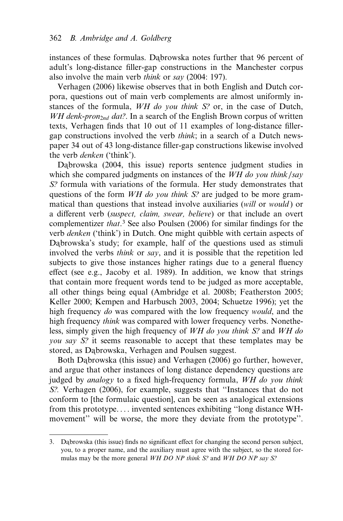instances of these formulas. Dabrowska notes further that 96 percent of adult's long-distance filler-gap constructions in the Manchester corpus also involve the main verb think or say (2004: 197).

Verhagen (2006) likewise observes that in both English and Dutch corpora, questions out of main verb complements are almost uniformly instances of the formula, WH do you think S? or, in the case of Dutch, WH denk-pron<sub>2nd</sub> dat?. In a search of the English Brown corpus of written texts, Verhagen finds that 10 out of 11 examples of long-distance fillergap constructions involved the verb think; in a search of a Dutch newspaper 34 out of 43 long-distance filler-gap constructions likewise involved the verb denken ('think').

Dabrowska (2004, this issue) reports sentence judgment studies in which she compared judgments on instances of the  $WH$  do you think/say S? formula with variations of the formula. Her study demonstrates that questions of the form WH do you think S? are judged to be more grammatical than questions that instead involve auxiliaries *(will or would)* or a different verb (suspect, claim, swear, believe) or that include an overt complementizer that.<sup>3</sup> See also Poulsen (2006) for similar findings for the verb denken ('think') in Dutch. One might quibble with certain aspects of Dabrowska's study; for example, half of the questions used as stimuli involved the verbs think or say, and it is possible that the repetition led subjects to give those instances higher ratings due to a general fluency effect (see e.g., Jacoby et al. 1989). In addition, we know that strings that contain more frequent words tend to be judged as more acceptable, all other things being equal (Ambridge et al. 2008b; Featherston 2005; Keller 2000; Kempen and Harbusch 2003, 2004; Schuetze 1996); yet the high frequency do was compared with the low frequency would, and the high frequency think was compared with lower frequency verbs. Nonetheless, simply given the high frequency of WH do you think S? and WH do you say S? it seems reasonable to accept that these templates may be stored, as Dabrowska, Verhagen and Poulsen suggest.

Both Dabrowska (this issue) and Verhagen (2006) go further, however, and argue that other instances of long distance dependency questions are judged by analogy to a fixed high-frequency formula, WH do you think S?. Verhagen (2006), for example, suggests that ''Instances that do not conform to [the formulaic question], can be seen as analogical extensions from this prototype.... invented sentences exhibiting ''long distance WHmovement'' will be worse, the more they deviate from the prototype''.

<sup>3.</sup> Dabrowska (this issue) finds no significant effect for changing the second person subject, you, to a proper name, and the auxiliary must agree with the subject, so the stored formulas may be the more general WH DO NP think S? and WH DO NP say S?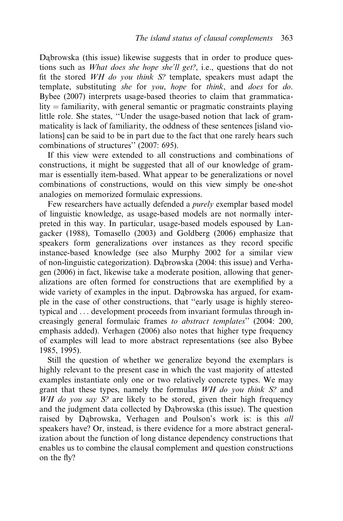Dabrowska (this issue) likewise suggests that in order to produce questions such as What does she hope she'll get?, i.e., questions that do not fit the stored  $WH$  do you think S? template, speakers must adapt the template, substituting she for you, hope for think, and does for do. Bybee (2007) interprets usage-based theories to claim that grammatica $lity =$  familiarity, with general semantic or pragmatic constraints playing little role. She states, ''Under the usage-based notion that lack of grammaticality is lack of familiarity, the oddness of these sentences [island violations] can be said to be in part due to the fact that one rarely hears such combinations of structures'' (2007: 695).

If this view were extended to all constructions and combinations of constructions, it might be suggested that all of our knowledge of grammar is essentially item-based. What appear to be generalizations or novel combinations of constructions, would on this view simply be one-shot analogies on memorized formulaic expressions.

Few researchers have actually defended a purely exemplar based model of linguistic knowledge, as usage-based models are not normally interpreted in this way. In particular, usage-based models espoused by Langacker (1988), Tomasello (2003) and Goldberg (2006) emphasize that speakers form generalizations over instances as they record specific instance-based knowledge (see also Murphy 2002 for a similar view of non-linguistic categorization). Dabrowska (2004: this issue) and Verhagen (2006) in fact, likewise take a moderate position, allowing that generalizations are often formed for constructions that are exemplified by a wide variety of examples in the input. Dabrowska has argued, for example in the case of other constructions, that ''early usage is highly stereotypical and . . . development proceeds from invariant formulas through increasingly general formulaic frames to abstract templates'' (2004: 200, emphasis added). Verhagen (2006) also notes that higher type frequency of examples will lead to more abstract representations (see also Bybee 1985, 1995).

Still the question of whether we generalize beyond the exemplars is highly relevant to the present case in which the vast majority of attested examples instantiate only one or two relatively concrete types. We may grant that these types, namely the formulas WH do you think S? and WH do you say S? are likely to be stored, given their high frequency and the judgment data collected by Dabrowska (this issue). The question raised by Dabrowska, Verhagen and Poulson's work is: is this all speakers have? Or, instead, is there evidence for a more abstract generalization about the function of long distance dependency constructions that enables us to combine the clausal complement and question constructions on the fly?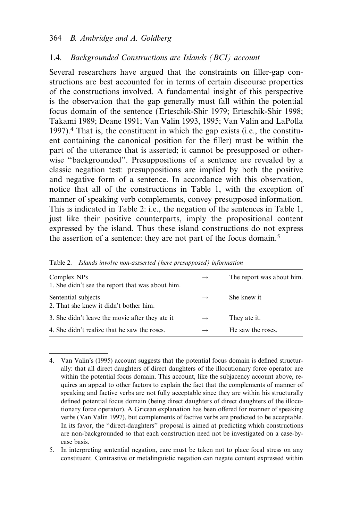### 1.4. Backgrounded Constructions are Islands (BCI) account

Several researchers have argued that the constraints on filler-gap constructions are best accounted for in terms of certain discourse properties of the constructions involved. A fundamental insight of this perspective is the observation that the gap generally must fall within the potential focus domain of the sentence (Erteschik-Shir 1979; Erteschik-Shir 1998; Takami 1989; Deane 1991; Van Valin 1993, 1995; Van Valin and LaPolla 1997).<sup>4</sup> That is, the constituent in which the gap exists (i.e., the constituent containing the canonical position for the filler) must be within the part of the utterance that is asserted; it cannot be presupposed or otherwise ''backgrounded''. Presuppositions of a sentence are revealed by a classic negation test: presuppositions are implied by both the positive and negative form of a sentence. In accordance with this observation, notice that all of the constructions in Table 1, with the exception of manner of speaking verb complements, convey presupposed information. This is indicated in Table 2: i.e., the negation of the sentences in Table 1, just like their positive counterparts, imply the propositional content expressed by the island. Thus these island constructions do not express the assertion of a sentence: they are not part of the focus domain.<sup>5</sup>

| Complex NPs<br>1. She didn't see the report that was about him. | $\longrightarrow$ | The report was about him. |
|-----------------------------------------------------------------|-------------------|---------------------------|
| Sentential subjects<br>2. That she knew it didn't bother him.   | $\rightarrow$     | She knew it               |
| 3. She didn't leave the movie after they ate it                 | $\longrightarrow$ | They ate it.              |
| 4. She didn't realize that he saw the roses.                    | $\rightarrow$     | He saw the roses.         |

Table 2. Islands involve non-assserted (here presupposed) information

<sup>4.</sup> Van Valin's (1995) account suggests that the potential focus domain is defined structurally: that all direct daughters of direct daughters of the illocutionary force operator are within the potential focus domain. This account, like the subjacency account above, requires an appeal to other factors to explain the fact that the complements of manner of speaking and factive verbs are not fully acceptable since they are within his structurally defined potential focus domain (being direct daughters of direct daughters of the illocutionary force operator). A Gricean explanation has been offered for manner of speaking verbs (Van Valin 1997), but complements of factive verbs are predicted to be acceptable. In its favor, the ''direct-daughters'' proposal is aimed at predicting which constructions are non-backgrounded so that each construction need not be investigated on a case-bycase basis.

<sup>5.</sup> In interpreting sentential negation, care must be taken not to place focal stress on any constituent. Contrastive or metalinguistic negation can negate content expressed within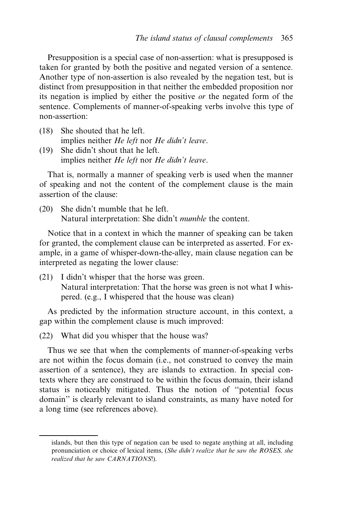Presupposition is a special case of non-assertion: what is presupposed is taken for granted by both the positive and negated version of a sentence. Another type of non-assertion is also revealed by the negation test, but is distinct from presupposition in that neither the embedded proposition nor its negation is implied by either the positive or the negated form of the sentence. Complements of manner-of-speaking verbs involve this type of non-assertion:

- (18) She shouted that he left. implies neither He left nor He didn't leave.
- (19) She didn't shout that he left. implies neither He left nor He didn't leave.

That is, normally a manner of speaking verb is used when the manner of speaking and not the content of the complement clause is the main assertion of the clause:

(20) She didn't mumble that he left. Natural interpretation: She didn't mumble the content.

Notice that in a context in which the manner of speaking can be taken for granted, the complement clause can be interpreted as asserted. For example, in a game of whisper-down-the-alley, main clause negation can be interpreted as negating the lower clause:

(21) I didn't whisper that the horse was green. Natural interpretation: That the horse was green is not what I whispered. (e.g., I whispered that the house was clean)

As predicted by the information structure account, in this context, a gap within the complement clause is much improved:

(22) What did you whisper that the house was?

Thus we see that when the complements of manner-of-speaking verbs are not within the focus domain (i.e., not construed to convey the main assertion of a sentence), they are islands to extraction. In special contexts where they are construed to be within the focus domain, their island status is noticeably mitigated. Thus the notion of ''potential focus domain'' is clearly relevant to island constraints, as many have noted for a long time (see references above).

islands, but then this type of negation can be used to negate anything at all, including pronunciation or choice of lexical items, (She didn't realize that he saw the ROSES, she realized that he saw CARNATIONS!).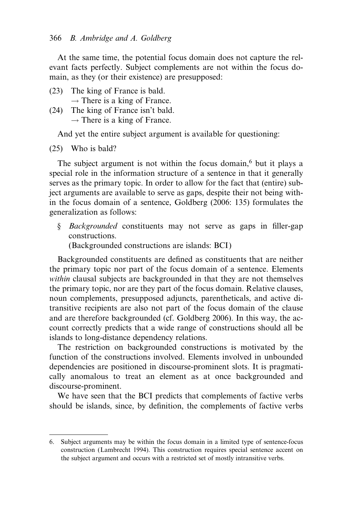### 366 B. Ambridge and A. Goldberg

At the same time, the potential focus domain does not capture the relevant facts perfectly. Subject complements are not within the focus domain, as they (or their existence) are presupposed:

- (23) The king of France is bald.  $\rightarrow$  There is a king of France.
- (24) The king of France isn't bald.  $\rightarrow$  There is a king of France.

And yet the entire subject argument is available for questioning:

(25) Who is bald?

The subject argument is not within the focus domain,<sup> $6$ </sup> but it plays a special role in the information structure of a sentence in that it generally serves as the primary topic. In order to allow for the fact that (entire) subject arguments are available to serve as gaps, despite their not being within the focus domain of a sentence, Goldberg (2006: 135) formulates the generalization as follows:

§ Backgrounded constituents may not serve as gaps in filler-gap constructions.

(Backgrounded constructions are islands: BCI )

Backgrounded constituents are defined as constituents that are neither the primary topic nor part of the focus domain of a sentence. Elements within clausal subjects are backgrounded in that they are not themselves the primary topic, nor are they part of the focus domain. Relative clauses, noun complements, presupposed adjuncts, parentheticals, and active ditransitive recipients are also not part of the focus domain of the clause and are therefore backgrounded (cf. Goldberg 2006). In this way, the account correctly predicts that a wide range of constructions should all be islands to long-distance dependency relations.

The restriction on backgrounded constructions is motivated by the function of the constructions involved. Elements involved in unbounded dependencies are positioned in discourse-prominent slots. It is pragmatically anomalous to treat an element as at once backgrounded and discourse-prominent.

We have seen that the BCI predicts that complements of factive verbs should be islands, since, by definition, the complements of factive verbs

<sup>6.</sup> Subject arguments may be within the focus domain in a limited type of sentence-focus construction (Lambrecht 1994). This construction requires special sentence accent on the subject argument and occurs with a restricted set of mostly intransitive verbs.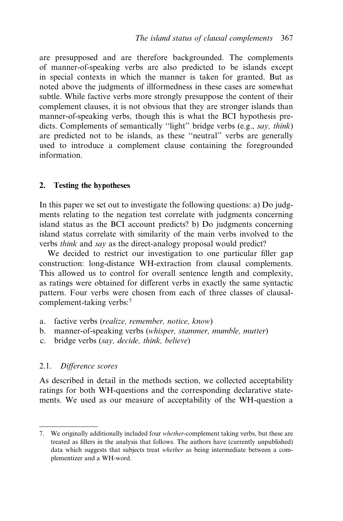are presupposed and are therefore backgrounded. The complements of manner-of-speaking verbs are also predicted to be islands except in special contexts in which the manner is taken for granted. But as noted above the judgments of illformedness in these cases are somewhat subtle. While factive verbs more strongly presuppose the content of their complement clauses, it is not obvious that they are stronger islands than manner-of-speaking verbs, though this is what the BCI hypothesis predicts. Complements of semantically "light" bridge verbs (e.g., say, think) are predicted not to be islands, as these ''neutral'' verbs are generally used to introduce a complement clause containing the foregrounded information.

### 2. Testing the hypotheses

In this paper we set out to investigate the following questions: a) Do judgments relating to the negation test correlate with judgments concerning island status as the BCI account predicts? b) Do judgments concerning island status correlate with similarity of the main verbs involved to the verbs think and say as the direct-analogy proposal would predict?

We decided to restrict our investigation to one particular filler gap construction: long-distance WH-extraction from clausal complements. This allowed us to control for overall sentence length and complexity, as ratings were obtained for different verbs in exactly the same syntactic pattern. Four verbs were chosen from each of three classes of clausalcomplement-taking verbs:<sup>7</sup>

- a. factive verbs (realize, remember, notice, know)
- b. manner-of-speaking verbs (whisper, stammer, mumble, mutter)
- c. bridge verbs (say, decide, think, believe)

### 2.1. Difference scores

As described in detail in the methods section, we collected acceptability ratings for both WH-questions and the corresponding declarative statements. We used as our measure of acceptability of the WH-question a

<sup>7.</sup> We originally additionally included four whether-complement taking verbs, but these are treated as fillers in the analysis that follows. The authors have (currently unpublished) data which suggests that subjects treat *whether* as being intermediate between a complementizer and a WH-word.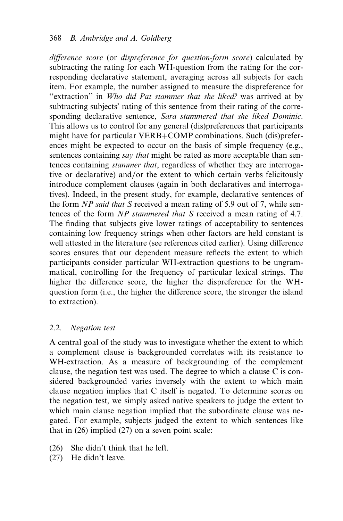difference score (or dispreference for question-form score) calculated by subtracting the rating for each WH-question from the rating for the corresponding declarative statement, averaging across all subjects for each item. For example, the number assigned to measure the dispreference for ''extraction'' in Who did Pat stammer that she liked? was arrived at by subtracting subjects' rating of this sentence from their rating of the corresponding declarative sentence, Sara stammered that she liked Dominic. This allows us to control for any general (dis)preferences that participants might have for particular  $VERB+COMP$  combinations. Such (dis)preferences might be expected to occur on the basis of simple frequency (e.g., sentences containing *say that* might be rated as more acceptable than sentences containing stammer that, regardless of whether they are interrogative or declarative) and/or the extent to which certain verbs felicitously introduce complement clauses (again in both declaratives and interrogatives). Indeed, in the present study, for example, declarative sentences of the form NP said that S received a mean rating of 5.9 out of 7, while sentences of the form NP stammered that S received a mean rating of 4.7. The finding that subjects give lower ratings of acceptability to sentences containing low frequency strings when other factors are held constant is well attested in the literature (see references cited earlier). Using difference scores ensures that our dependent measure reflects the extent to which participants consider particular WH-extraction questions to be ungrammatical, controlling for the frequency of particular lexical strings. The higher the difference score, the higher the dispreference for the WHquestion form (i.e., the higher the difference score, the stronger the island to extraction).

## 2.2. Negation test

A central goal of the study was to investigate whether the extent to which a complement clause is backgrounded correlates with its resistance to WH-extraction. As a measure of backgrounding of the complement clause, the negation test was used. The degree to which a clause C is considered backgrounded varies inversely with the extent to which main clause negation implies that C itself is negated. To determine scores on the negation test, we simply asked native speakers to judge the extent to which main clause negation implied that the subordinate clause was negated. For example, subjects judged the extent to which sentences like that in (26) implied (27) on a seven point scale:

- (26) She didn't think that he left.
- (27) He didn't leave.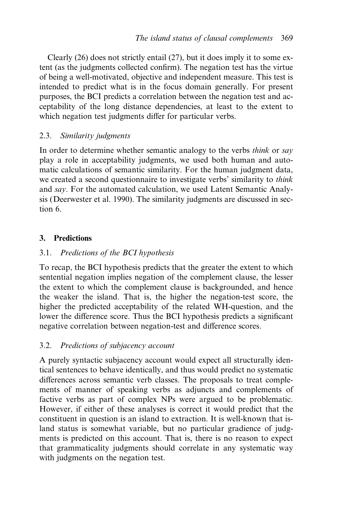Clearly (26) does not strictly entail (27), but it does imply it to some extent (as the judgments collected confirm). The negation test has the virtue of being a well-motivated, objective and independent measure. This test is intended to predict what is in the focus domain generally. For present purposes, the BCI predicts a correlation between the negation test and acceptability of the long distance dependencies, at least to the extent to which negation test judgments differ for particular verbs.

## 2.3. Similarity judgments

In order to determine whether semantic analogy to the verbs *think* or say play a role in acceptability judgments, we used both human and automatic calculations of semantic similarity. For the human judgment data, we created a second questionnaire to investigate verbs' similarity to think and say. For the automated calculation, we used Latent Semantic Analysis (Deerwester et al. 1990). The similarity judgments are discussed in section 6.

## 3. Predictions

## 3.1. Predictions of the BCI hypothesis

To recap, the BCI hypothesis predicts that the greater the extent to which sentential negation implies negation of the complement clause, the lesser the extent to which the complement clause is backgrounded, and hence the weaker the island. That is, the higher the negation-test score, the higher the predicted acceptability of the related WH-question, and the lower the difference score. Thus the BCI hypothesis predicts a significant negative correlation between negation-test and difference scores.

## 3.2. Predictions of subjacency account

A purely syntactic subjacency account would expect all structurally identical sentences to behave identically, and thus would predict no systematic differences across semantic verb classes. The proposals to treat complements of manner of speaking verbs as adjuncts and complements of factive verbs as part of complex NPs were argued to be problematic. However, if either of these analyses is correct it would predict that the constituent in question is an island to extraction. It is well-known that island status is somewhat variable, but no particular gradience of judgments is predicted on this account. That is, there is no reason to expect that grammaticality judgments should correlate in any systematic way with judgments on the negation test.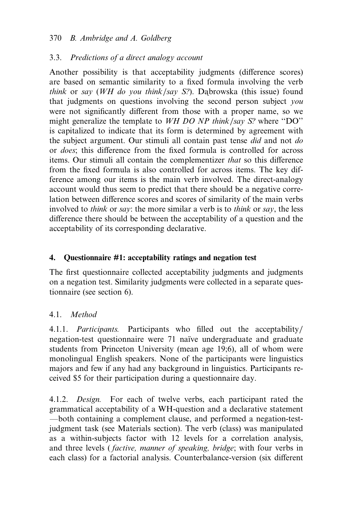## 3.3. Predictions of a direct analogy account

Another possibility is that acceptability judgments (difference scores) are based on semantic similarity to a fixed formula involving the verb think or say (WH do you think/say  $S$ ?). Dabrowska (this issue) found that judgments on questions involving the second person subject you were not significantly different from those with a proper name, so we might generalize the template to WH DO NP think/say  $S$ ? where "DO" is capitalized to indicate that its form is determined by agreement with the subject argument. Our stimuli all contain past tense did and not do or *does*; this difference from the fixed formula is controlled for across items. Our stimuli all contain the complementizer *that* so this difference from the fixed formula is also controlled for across items. The key difference among our items is the main verb involved. The direct-analogy account would thus seem to predict that there should be a negative correlation between difference scores and scores of similarity of the main verbs involved to think or say: the more similar a verb is to think or say, the less difference there should be between the acceptability of a question and the acceptability of its corresponding declarative.

## 4. Questionnaire #1: acceptability ratings and negation test

The first questionnaire collected acceptability judgments and judgments on a negation test. Similarity judgments were collected in a separate questionnaire (see section 6).

## 4.1. Method

4.1.1. Participants. Participants who filled out the acceptability/ negation-test questionnaire were 71 naïve undergraduate and graduate students from Princeton University (mean age 19;6), all of whom were monolingual English speakers. None of the participants were linguistics majors and few if any had any background in linguistics. Participants received \$5 for their participation during a questionnaire day.

4.1.2. Design. For each of twelve verbs, each participant rated the grammatical acceptability of a WH-question and a declarative statement —both containing a complement clause, and performed a negation-testjudgment task (see Materials section). The verb (class) was manipulated as a within-subjects factor with 12 levels for a correlation analysis, and three levels ( factive, manner of speaking, bridge; with four verbs in each class) for a factorial analysis. Counterbalance-version (six different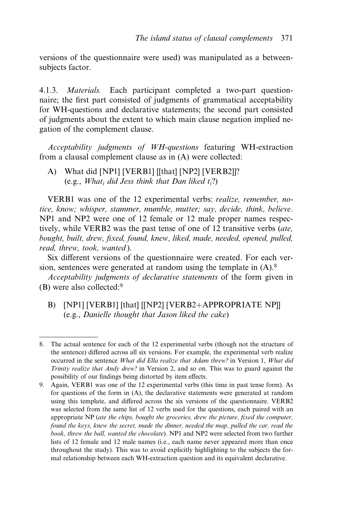versions of the questionnaire were used) was manipulated as a betweensubjects factor.

4.1.3. Materials. Each participant completed a two-part questionnaire; the first part consisted of judgments of grammatical acceptability for WH-questions and declarative statements; the second part consisted of judgments about the extent to which main clause negation implied negation of the complement clause.

Acceptability judgments of WH-questions featuring WH-extraction from a clausal complement clause as in (A) were collected:

A) What did [NP1] [VERB1] [[that] [NP2] [VERB2]]? (e.g., What; did Jess think that Dan liked  $t_i$ ?)

VERB1 was one of the 12 experimental verbs: realize, remember, notice, know; whisper, stammer, mumble, mutter; say, decide, think, believe. NP1 and NP2 were one of 12 female or 12 male proper names respectively, while VERB2 was the past tense of one of 12 transitive verbs (ate, bought, built, drew, fixed, found, knew, liked, made, needed, opened, pulled, read, threw, took, wanted).

Six different versions of the questionnaire were created. For each version, sentences were generated at random using the template in (A).<sup>8</sup>

Acceptability judgments of declarative statements of the form given in (B) were also collected:<sup>9</sup>

B) [NP1] [VERB1] [that] [[NP2] [VERB2+APPROPRIATE NP]] (e.g., Danielle thought that Jason liked the cake)

<sup>8.</sup> The actual sentence for each of the 12 experimental verbs (though not the structure of the sentence) differed across all six versions. For example, the experimental verb realize occurred in the sentence What did Ella realize that Adam threw? in Version 1, What did Trinity realize that Andy drew? in Version 2, and so on. This was to guard against the possibility of our findings being distorted by item effects.

<sup>9.</sup> Again, VERB1 was one of the 12 experimental verbs (this time in past tense form). As for questions of the form in (A), the declarative statements were generated at random using this template, and differed across the six versions of the questionnaire. VERB2 was selected from the same list of 12 verbs used for the questions, each paired with an appropriate NP (ate the chips, bought the groceries, drew the picture, fixed the computer, found the keys, knew the secret, made the dinner, needed the map, pulled the car, read the book, threw the ball, wanted the chocolate). NP1 and NP2 were selected from two further lists of 12 female and 12 male names (i.e., each name never appeared more than once throughout the study). This was to avoid explicitly highlighting to the subjects the formal relationship between each WH-extraction question and its equivalent declarative.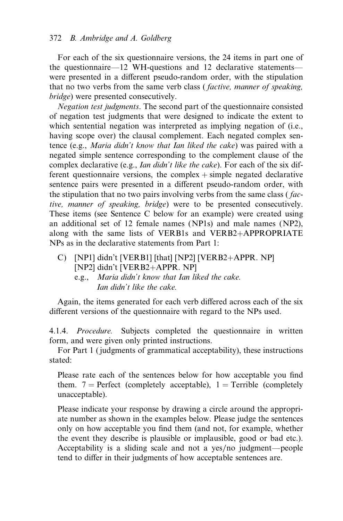### 372 B. Ambridge and A. Goldberg

For each of the six questionnaire versions, the 24 items in part one of the questionnaire—12 WH-questions and 12 declarative statements were presented in a different pseudo-random order, with the stipulation that no two verbs from the same verb class ( factive, manner of speaking, bridge) were presented consecutively.

Negation test judgments. The second part of the questionnaire consisted of negation test judgments that were designed to indicate the extent to which sentential negation was interpreted as implying negation of (i.e., having scope over) the clausal complement. Each negated complex sentence (e.g., Maria didn't know that Ian liked the cake) was paired with a negated simple sentence corresponding to the complement clause of the complex declarative (e.g., *Ian didn't like the cake*). For each of the six different questionnaire versions, the complex  $+$  simple negated declarative sentence pairs were presented in a different pseudo-random order, with the stipulation that no two pairs involving verbs from the same class ( factive, manner of speaking, bridge) were to be presented consecutively. These items (see Sentence C below for an example) were created using an additional set of 12 female names (NP1s) and male names (NP2), along with the same lists of VERB1s and VERB2+APPROPRIATE NPs as in the declarative statements from Part 1:

- C) [NP1] didn't [VERB1] [that] [NP2] [VERB2+APPR. NP] [NP2] didn't [VERB2+APPR. NP]
	- e.g., Maria didn't know that Ian liked the cake. Ian didn't like the cake.

Again, the items generated for each verb differed across each of the six different versions of the questionnaire with regard to the NPs used.

4.1.4. Procedure. Subjects completed the questionnaire in written form, and were given only printed instructions.

For Part 1 ( judgments of grammatical acceptability), these instructions stated:

Please rate each of the sentences below for how acceptable you find them.  $7 =$  Perfect (completely acceptable),  $1 =$  Terrible (completely unacceptable).

Please indicate your response by drawing a circle around the appropriate number as shown in the examples below. Please judge the sentences only on how acceptable you find them (and not, for example, whether the event they describe is plausible or implausible, good or bad etc.). Acceptability is a sliding scale and not a yes/no judgment—people tend to differ in their judgments of how acceptable sentences are.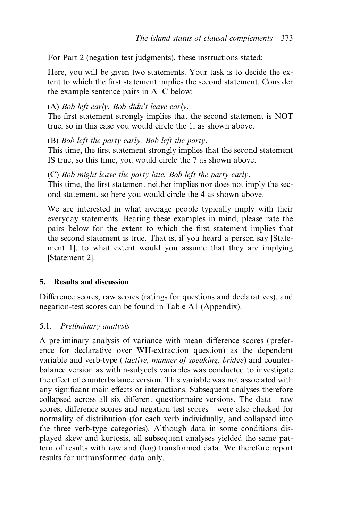For Part 2 (negation test judgments), these instructions stated:

Here, you will be given two statements. Your task is to decide the extent to which the first statement implies the second statement. Consider the example sentence pairs in A–C below:

(A) Bob left early. Bob didn't leave early.

The first statement strongly implies that the second statement is NOT true, so in this case you would circle the 1, as shown above.

(B) Bob left the party early. Bob left the party.

This time, the first statement strongly implies that the second statement IS true, so this time, you would circle the 7 as shown above.

(C) Bob might leave the party late. Bob left the party early. This time, the first statement neither implies nor does not imply the second statement, so here you would circle the 4 as shown above.

We are interested in what average people typically imply with their everyday statements. Bearing these examples in mind, please rate the pairs below for the extent to which the first statement implies that the second statement is true. That is, if you heard a person say [Statement 1], to what extent would you assume that they are implying [Statement 2].

### 5. Results and discussion

Difference scores, raw scores (ratings for questions and declaratives), and negation-test scores can be found in Table A1 (Appendix).

### 5.1. Preliminary analysis

A preliminary analysis of variance with mean difference scores (preference for declarative over WH-extraction question) as the dependent variable and verb-type (*factive, manner of speaking, bridge*) and counterbalance version as within-subjects variables was conducted to investigate the effect of counterbalance version. This variable was not associated with any significant main effects or interactions. Subsequent analyses therefore collapsed across all six different questionnaire versions. The data—raw scores, difference scores and negation test scores—were also checked for normality of distribution (for each verb individually, and collapsed into the three verb-type categories). Although data in some conditions displayed skew and kurtosis, all subsequent analyses yielded the same pattern of results with raw and (log) transformed data. We therefore report results for untransformed data only.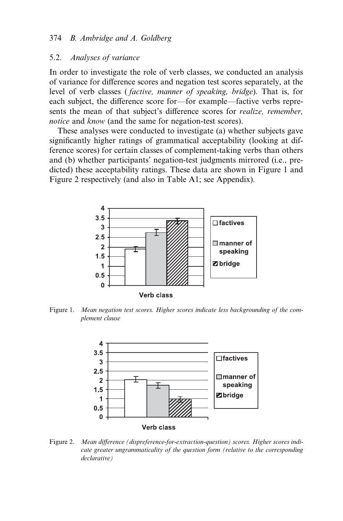#### 374 B. Ambridge and A. Goldberg

#### 5.2. Analyses of variance

In order to investigate the role of verb classes, we conducted an analysis of variance for difference scores and negation test scores separately, at the level of verb classes ( factive, manner of speaking, bridge). That is, for each subject, the difference score for—for example—factive verbs represents the mean of that subject's difference scores for *realize*, *remember*, notice and know (and the same for negation-test scores).

These analyses were conducted to investigate (a) whether subjects gave significantly higher ratings of grammatical acceptability (looking at difference scores) for certain classes of complement-taking verbs than others and (b) whether participants' negation-test judgments mirrored (i.e., predicted) these acceptability ratings. These data are shown in Figure 1 and Figure 2 respectively (and also in Table A1; see Appendix).



Figure 1. Mean negation test scores. Higher scores indicate less backgrounding of the complement clause



Figure 2. Mean difference (dispreference-for-extraction-question) scores. Higher scores indicate greater ungrammaticality of the question form (relative to the corresponding declarative)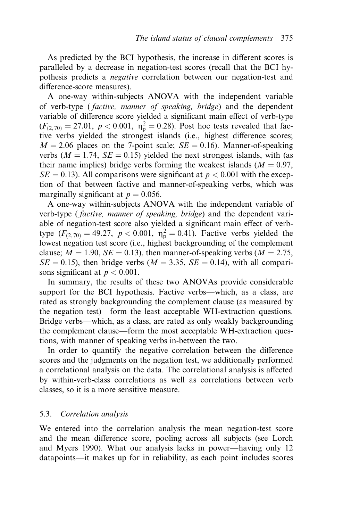As predicted by the BCI hypothesis, the increase in different scores is paralleled by a decrease in negation-test scores (recall that the BCI hypothesis predicts a negative correlation between our negation-test and difference-score measures).

A one-way within-subjects ANOVA with the independent variable of verb-type ( factive, manner of speaking, bridge) and the dependent variable of difference score yielded a significant main effect of verb-type  $(F_{(2,70)} = 27.01, p < 0.001, \eta_p^2 = 0.28)$ . Post hoc tests revealed that factive verbs yielded the strongest islands (i.e., highest difference scores;  $M = 2.06$  places on the 7-point scale;  $SE = 0.16$ ). Manner-of-speaking verbs ( $M = 1.74$ ,  $SE = 0.15$ ) yielded the next strongest islands, with (as their name implies) bridge verbs forming the weakest islands ( $M = 0.97$ ,  $SE = 0.13$ ). All comparisons were significant at  $p < 0.001$  with the exception of that between factive and manner-of-speaking verbs, which was marginally significant at  $p = 0.056$ .

A one-way within-subjects ANOVA with the independent variable of verb-type (*factive, manner of speaking, bridge*) and the dependent variable of negation-test score also yielded a significant main effect of verbtype  $(F_{(2,70)} = 49.27, p < 0.001, \eta_p^2 = 0.41)$ . Factive verbs yielded the lowest negation test score (i.e., highest backgrounding of the complement clause;  $M = 1.90$ ,  $SE = 0.13$ ), then manner-of-speaking verbs ( $M = 2.75$ ,  $SE = 0.15$ , then bridge verbs ( $M = 3.35$ ,  $SE = 0.14$ ), with all comparisons significant at  $p < 0.001$ .

In summary, the results of these two ANOVAs provide considerable support for the BCI hypothesis. Factive verbs—which, as a class, are rated as strongly backgrounding the complement clause (as measured by the negation test)—form the least acceptable WH-extraction questions. Bridge verbs—which, as a class, are rated as only weakly backgrounding the complement clause—form the most acceptable WH-extraction questions, with manner of speaking verbs in-between the two.

In order to quantify the negative correlation between the difference scores and the judgments on the negation test, we additionally performed a correlational analysis on the data. The correlational analysis is affected by within-verb-class correlations as well as correlations between verb classes, so it is a more sensitive measure.

#### 5.3. Correlation analysis

We entered into the correlation analysis the mean negation-test score and the mean difference score, pooling across all subjects (see Lorch and Myers 1990). What our analysis lacks in power—having only 12 datapoints—it makes up for in reliability, as each point includes scores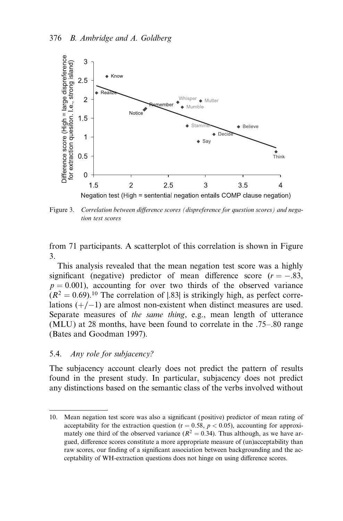

Figure 3. Correlation between difference scores (dispreference for question scores) and negation test scores

from 71 participants. A scatterplot of this correlation is shown in Figure 3.

This analysis revealed that the mean negation test score was a highly significant (negative) predictor of mean difference score  $(r = -.83, ...)$  $p = 0.001$ , accounting for over two thirds of the observed variance  $(R^{2} = 0.69).$ <sup>10</sup> The correlation of [.83] is strikingly high, as perfect correlations  $(+/-1)$  are almost non-existent when distinct measures are used. Separate measures of the same thing, e.g., mean length of utterance (MLU) at 28 months, have been found to correlate in the  $.75-80$  range (Bates and Goodman 1997).

### 5.4. Any role for subjacency?

The subjacency account clearly does not predict the pattern of results found in the present study. In particular, subjacency does not predict any distinctions based on the semantic class of the verbs involved without

<sup>10.</sup> Mean negation test score was also a significant (positive) predictor of mean rating of acceptability for the extraction question ( $r = 0.58$ ,  $p < 0.05$ ), accounting for approximately one third of the observed variance ( $R^2 = 0.34$ ). Thus although, as we have argued, difference scores constitute a more appropriate measure of (un)acceptability than raw scores, our finding of a significant association between backgrounding and the acceptability of WH-extraction questions does not hinge on using difference scores.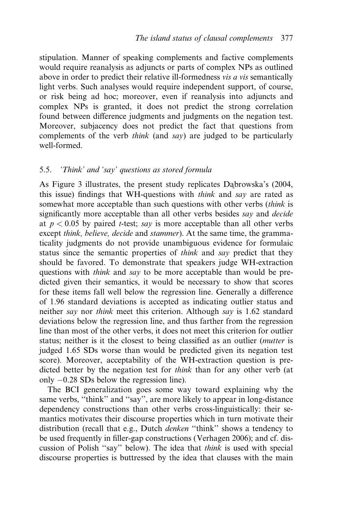stipulation. Manner of speaking complements and factive complements would require reanalysis as adjuncts or parts of complex NPs as outlined above in order to predict their relative ill-formedness vis a vis semantically light verbs. Such analyses would require independent support, of course, or risk being ad hoc; moreover, even if reanalysis into adjuncts and complex NPs is granted, it does not predict the strong correlation found between difference judgments and judgments on the negation test. Moreover, subjacency does not predict the fact that questions from complements of the verb *think* (and *say*) are judged to be particularly well-formed.

## 5.5. 'Think' and 'say' questions as stored formula

As Figure 3 illustrates, the present study replicates Dabrowska's (2004, this issue) findings that WH-questions with think and say are rated as somewhat more acceptable than such questions with other verbs *(think* is significantly more acceptable than all other verbs besides say and *decide* at  $p < 0.05$  by paired *t*-test; say is more acceptable than all other verbs except *think*, *believe*, *decide* and *stammer*). At the same time, the grammaticality judgments do not provide unambiguous evidence for formulaic status since the semantic properties of *think* and *say* predict that they should be favored. To demonstrate that speakers judge WH-extraction questions with *think* and *say* to be more acceptable than would be predicted given their semantics, it would be necessary to show that scores for these items fall well below the regression line. Generally a difference of 1.96 standard deviations is accepted as indicating outlier status and neither say nor think meet this criterion. Although say is 1.62 standard deviations below the regression line, and thus farther from the regression line than most of the other verbs, it does not meet this criterion for outlier status; neither is it the closest to being classified as an outlier (mutter is judged 1.65 SDs worse than would be predicted given its negation test score). Moreover, acceptability of the WH-extraction question is predicted better by the negation test for think than for any other verb (at only  $-0.28$  SDs below the regression line).

The BCI generalization goes some way toward explaining why the same verbs, ''think'' and ''say'', are more likely to appear in long-distance dependency constructions than other verbs cross-linguistically: their semantics motivates their discourse properties which in turn motivate their distribution (recall that e.g., Dutch *denken* "think" shows a tendency to be used frequently in filler-gap constructions (Verhagen 2006); and cf. discussion of Polish ''say'' below). The idea that think is used with special discourse properties is buttressed by the idea that clauses with the main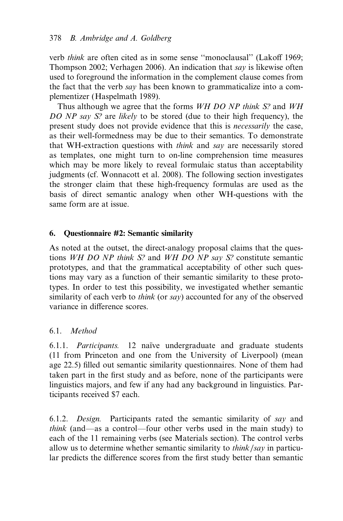verb *think* are often cited as in some sense "monoclausal" (Lakoff 1969; Thompson 2002: Verhagen 2006). An indication that  $say$  is likewise often used to foreground the information in the complement clause comes from the fact that the verb say has been known to grammaticalize into a complementizer (Haspelmath 1989).

Thus although we agree that the forms WH DO NP think S? and WH DO NP say S? are likely to be stored (due to their high frequency), the present study does not provide evidence that this is necessarily the case, as their well-formedness may be due to their semantics. To demonstrate that WH-extraction questions with think and say are necessarily stored as templates, one might turn to on-line comprehension time measures which may be more likely to reveal formulaic status than acceptability judgments (cf. Wonnacott et al. 2008). The following section investigates the stronger claim that these high-frequency formulas are used as the basis of direct semantic analogy when other WH-questions with the same form are at issue.

## 6. Questionnaire #2: Semantic similarity

As noted at the outset, the direct-analogy proposal claims that the questions WH DO NP think S? and WH DO NP say S? constitute semantic prototypes, and that the grammatical acceptability of other such questions may vary as a function of their semantic similarity to these prototypes. In order to test this possibility, we investigated whether semantic similarity of each verb to *think* (or  $say$ ) accounted for any of the observed variance in difference scores.

## 6.1. Method

6.1.1. *Participants*. 12 naïve undergraduate and graduate students (11 from Princeton and one from the University of Liverpool) (mean age 22.5) filled out semantic similarity questionnaires. None of them had taken part in the first study and as before, none of the participants were linguistics majors, and few if any had any background in linguistics. Participants received \$7 each.

6.1.2. Design. Participants rated the semantic similarity of say and think (and—as a control—four other verbs used in the main study) to each of the 11 remaining verbs (see Materials section). The control verbs allow us to determine whether semantic similarity to think/say in particular predicts the difference scores from the first study better than semantic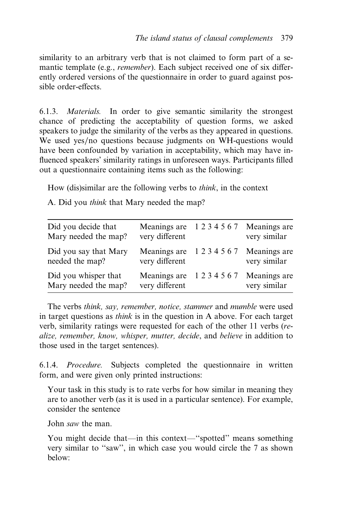similarity to an arbitrary verb that is not claimed to form part of a semantic template (e.g., *remember*). Each subject received one of six differently ordered versions of the questionnaire in order to guard against possible order-effects.

6.1.3. Materials. In order to give semantic similarity the strongest chance of predicting the acceptability of question forms, we asked speakers to judge the similarity of the verbs as they appeared in questions. We used yes/no questions because judgments on WH-questions would have been confounded by variation in acceptability, which may have influenced speakers' similarity ratings in unforeseen ways. Participants filled out a questionnaire containing items such as the following:

How (dis)similar are the following verbs to think, in the context

A. Did you think that Mary needed the map?

| Did you decide that<br>Mary needed the map? | Meanings are 1234567 Meanings are<br>very different |               | very similar |
|---------------------------------------------|-----------------------------------------------------|---------------|--------------|
| Did you say that Mary                       | Meanings are $1234567$                              |               | Meanings are |
| needed the map?                             | very different                                      |               | very similar |
| Did you whisper that                        | Meanings are                                        | 1 2 3 4 5 6 7 | Meanings are |
| Mary needed the map?                        | very different                                      |               | very similar |

The verbs think, say, remember, notice, stammer and mumble were used in target questions as think is in the question in A above. For each target verb, similarity ratings were requested for each of the other 11 verbs (realize, remember, know, whisper, mutter, decide, and believe in addition to those used in the target sentences).

6.1.4. Procedure. Subjects completed the questionnaire in written form, and were given only printed instructions:

Your task in this study is to rate verbs for how similar in meaning they are to another verb (as it is used in a particular sentence). For example, consider the sentence

John saw the man.

You might decide that—in this context—''spotted'' means something very similar to ''saw'', in which case you would circle the 7 as shown below: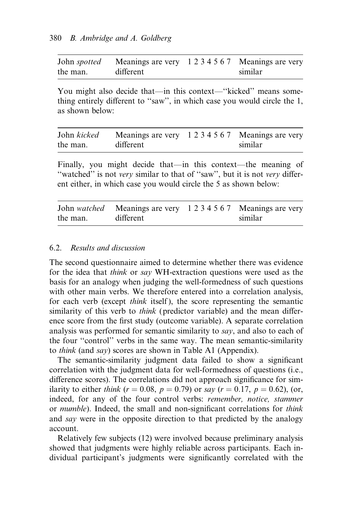| John spotted | Meanings are very 1234567 Meanings are very |         |
|--------------|---------------------------------------------|---------|
| the man.     | different                                   | similar |

You might also decide that—in this context—''kicked'' means something entirely different to "saw", in which case you would circle the  $1$ , as shown below:

| John kicked | Meanings are very $1234567$ Meanings are very |         |
|-------------|-----------------------------------------------|---------|
| the man.    | different                                     | similar |

Finally, you might decide that—in this context—the meaning of "watched" is not very similar to that of "saw", but it is not very different either, in which case you would circle the 5 as shown below:

|          | John watched Meanings are very 1234567 Meanings are very |         |
|----------|----------------------------------------------------------|---------|
| the man. | different                                                | similar |

#### 6.2. Results and discussion

The second questionnaire aimed to determine whether there was evidence for the idea that think or say WH-extraction questions were used as the basis for an analogy when judging the well-formedness of such questions with other main verbs. We therefore entered into a correlation analysis, for each verb (except think itself ), the score representing the semantic similarity of this verb to *think* (predictor variable) and the mean difference score from the first study (outcome variable). A separate correlation analysis was performed for semantic similarity to  $say$ , and also to each of the four ''control'' verbs in the same way. The mean semantic-similarity to think (and say) scores are shown in Table A1 (Appendix).

The semantic-similarity judgment data failed to show a significant correlation with the judgment data for well-formedness of questions (i.e., difference scores). The correlations did not approach significance for similarity to either think ( $r = 0.08$ ,  $p = 0.79$ ) or say ( $r = 0.17$ ,  $p = 0.62$ ), (or, indeed, for any of the four control verbs: *remember*, *notice*, *stammer* or mumble). Indeed, the small and non-significant correlations for think and say were in the opposite direction to that predicted by the analogy account.

Relatively few subjects (12) were involved because preliminary analysis showed that judgments were highly reliable across participants. Each individual participant's judgments were significantly correlated with the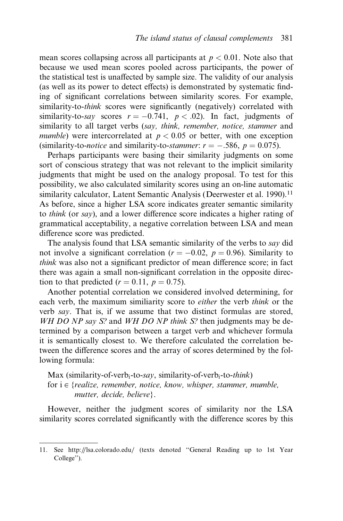mean scores collapsing across all participants at  $p < 0.01$ . Note also that because we used mean scores pooled across participants, the power of the statistical test is unaffected by sample size. The validity of our analysis (as well as its power to detect effects) is demonstrated by systematic finding of significant correlations between similarity scores. For example, similarity-to-*think* scores were significantly (negatively) correlated with similarity-to-say scores  $r = -0.741$ ,  $p < .02$ ). In fact, judgments of similarity to all target verbs (say, think, remember, notice, stammer and *mumble*) were intercorrelated at  $p < 0.05$  or better, with one exception (similarity-to-*notice* and similarity-to-*stammer*:  $r = -.586$ ,  $p = 0.075$ ).

Perhaps participants were basing their similarity judgments on some sort of conscious strategy that was not relevant to the implicit similarity judgments that might be used on the analogy proposal. To test for this possibility, we also calculated similarity scores using an on-line automatic similarity calculator, Latent Semantic Analysis (Deerwester et al. 1990).<sup>11</sup> As before, since a higher LSA score indicates greater semantic similarity to *think* (or  $say$ ), and a lower difference score indicates a higher rating of grammatical acceptability, a negative correlation between LSA and mean difference score was predicted.

The analysis found that LSA semantic similarity of the verbs to say did not involve a significant correlation ( $r = -0.02$ ,  $p = 0.96$ ). Similarity to think was also not a significant predictor of mean difference score; in fact there was again a small non-significant correlation in the opposite direction to that predicted  $(r = 0.11, p = 0.75)$ .

Another potential correlation we considered involved determining, for each verb, the maximum similiarity score to either the verb think or the verb say. That is, if we assume that two distinct formulas are stored, WH DO NP say S? and WH DO NP think S? then judgments may be determined by a comparison between a target verb and whichever formula it is semantically closest to. We therefore calculated the correlation between the difference scores and the array of scores determined by the following formula:

Max (similarity-of-verb<sub>i</sub>-to-say, similarity-of-verb<sub>i</sub>-to-think) for  $i \in \{realize,$  remember, notice, know, whisper, stammer, mumble, mutter, decide, believe}.

However, neither the judgment scores of similarity nor the LSA similarity scores correlated significantly with the difference scores by this

<sup>11.</sup> See http://lsa.colorado.edu/ (texts denoted ''General Reading up to 1st Year College'').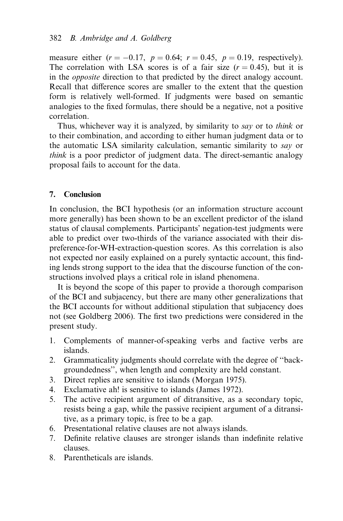measure either  $(r = -0.17, p = 0.64; r = 0.45, p = 0.19$ , respectively). The correlation with LSA scores is of a fair size  $(r = 0.45)$ , but it is in the opposite direction to that predicted by the direct analogy account. Recall that difference scores are smaller to the extent that the question form is relatively well-formed. If judgments were based on semantic analogies to the fixed formulas, there should be a negative, not a positive correlation.

Thus, whichever way it is analyzed, by similarity to say or to think or to their combination, and according to either human judgment data or to the automatic LSA similarity calculation, semantic similarity to say or think is a poor predictor of judgment data. The direct-semantic analogy proposal fails to account for the data.

### 7. Conclusion

In conclusion, the BCI hypothesis (or an information structure account more generally) has been shown to be an excellent predictor of the island status of clausal complements. Participants' negation-test judgments were able to predict over two-thirds of the variance associated with their dispreference-for-WH-extraction-question scores. As this correlation is also not expected nor easily explained on a purely syntactic account, this finding lends strong support to the idea that the discourse function of the constructions involved plays a critical role in island phenomena.

It is beyond the scope of this paper to provide a thorough comparison of the BCI and subjacency, but there are many other generalizations that the BCI accounts for without additional stipulation that subjacency does not (see Goldberg 2006). The first two predictions were considered in the present study.

- 1. Complements of manner-of-speaking verbs and factive verbs are islands.
- 2. Grammaticality judgments should correlate with the degree of ''backgroundedness'', when length and complexity are held constant.
- 3. Direct replies are sensitive to islands (Morgan 1975).
- 4. Exclamative ah! is sensitive to islands (James 1972).
- 5. The active recipient argument of ditransitive, as a secondary topic, resists being a gap, while the passive recipient argument of a ditransitive, as a primary topic, is free to be a gap.
- 6. Presentational relative clauses are not always islands.
- 7. Definite relative clauses are stronger islands than indefinite relative clauses.
- 8. Parentheticals are islands.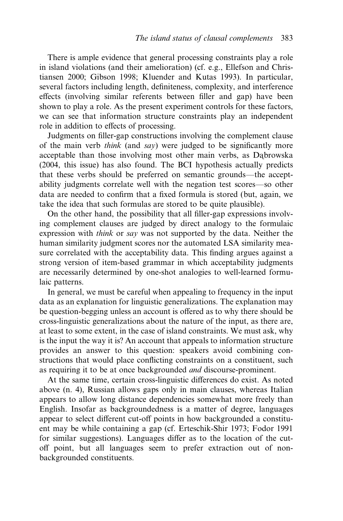There is ample evidence that general processing constraints play a role in island violations (and their amelioration) (cf. e.g., Ellefson and Christiansen 2000; Gibson 1998; Kluender and Kutas 1993). In particular, several factors including length, definiteness, complexity, and interference effects (involving similar referents between filler and gap) have been shown to play a role. As the present experiment controls for these factors, we can see that information structure constraints play an independent role in addition to effects of processing.

Judgments on filler-gap constructions involving the complement clause of the main verb *think* (and *say*) were judged to be significantly more acceptable than those involving most other main verbs, as Dabrowska (2004, this issue) has also found. The BCI hypothesis actually predicts that these verbs should be preferred on semantic grounds—the acceptability judgments correlate well with the negation test scores—so other data are needed to confirm that a fixed formula is stored (but, again, we take the idea that such formulas are stored to be quite plausible).

On the other hand, the possibility that all filler-gap expressions involving complement clauses are judged by direct analogy to the formulaic expression with *think* or say was not supported by the data. Neither the human similarity judgment scores nor the automated LSA similarity measure correlated with the acceptability data. This finding argues against a strong version of item-based grammar in which acceptability judgments are necessarily determined by one-shot analogies to well-learned formulaic patterns.

In general, we must be careful when appealing to frequency in the input data as an explanation for linguistic generalizations. The explanation may be question-begging unless an account is offered as to why there should be cross-linguistic generalizations about the nature of the input, as there are, at least to some extent, in the case of island constraints. We must ask, why is the input the way it is? An account that appeals to information structure provides an answer to this question: speakers avoid combining constructions that would place conflicting constraints on a constituent, such as requiring it to be at once backgrounded and discourse-prominent.

At the same time, certain cross-linguistic differences do exist. As noted above (n. 4), Russian allows gaps only in main clauses, whereas Italian appears to allow long distance dependencies somewhat more freely than English. Insofar as backgroundedness is a matter of degree, languages appear to select different cut-off points in how backgrounded a constituent may be while containing a gap (cf. Erteschik-Shir 1973; Fodor 1991 for similar suggestions). Languages differ as to the location of the cutoff point, but all languages seem to prefer extraction out of nonbackgrounded constituents.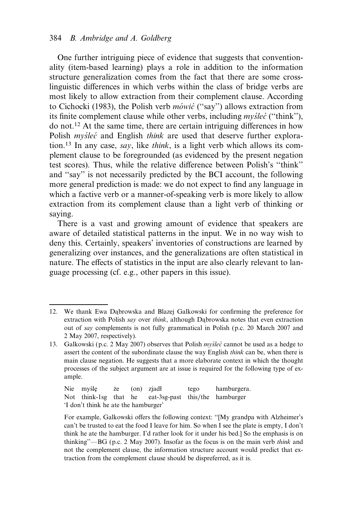### 384 B. Ambridge and A. Goldberg

One further intriguing piece of evidence that suggests that conventionality (item-based learning) plays a role in addition to the information structure generalization comes from the fact that there are some crosslinguistic differences in which verbs within the class of bridge verbs are most likely to allow extraction from their complement clause. According to Cichocki (1983), the Polish verb *mówić* ("say") allows extraction from its finite complement clause while other verbs, including  $m$  vslec<sup> $\zeta$ </sup> ("think"), do not.<sup>12</sup> At the same time, there are certain intriguing differences in how Polish *myslec*<sup>'</sup> and English *think* are used that deserve further exploration.<sup>13</sup> In any case, say, like think, is a light verb which allows its complement clause to be foregrounded (as evidenced by the present negation test scores). Thus, while the relative difference between Polish's "think" and ''say'' is not necessarily predicted by the BCI account, the following more general prediction is made: we do not expect to find any language in which a factive verb or a manner-of-speaking verb is more likely to allow extraction from its complement clause than a light verb of thinking or saying.

There is a vast and growing amount of evidence that speakers are aware of detailed statistical patterns in the input. We in no way wish to deny this. Certainly, speakers' inventories of constructions are learned by generalizing over instances, and the generalizations are often statistical in nature. The effects of statistics in the input are also clearly relevant to language processing (cf. e.g., other papers in this issue).

Nie myślę że (on) zjadł tego hamburgera. Not think-1sg that he eat-3sg-past this/the hamburger 'I don't think he ate the hamburger'

<sup>12.</sup> We thank Ewa Da˛browska and Blazej Galkowski for confirming the preference for extraction with Polish say over think, although Dabrowska notes that even extraction out of say complements is not fully grammatical in Polish (p.c. 20 March 2007 and 2 May 2007, respectively).

<sup>13.</sup> Galkowski (p.c. 2 May 2007) observes that Polish  $mys'le\acute{c}$  cannot be used as a hedge to assert the content of the subordinate clause the way English *think* can be, when there is main clause negation. He suggests that a more elaborate context in which the thought processes of the subject argument are at issue is required for the following type of example.

For example, Galkowski offers the following context: "[My grandpa with Alzheimer's can't be trusted to eat the food I leave for him. So when I see the plate is empty, I don't think he ate the hamburger. I'd rather look for it under his bed.] So the emphasis is on thinking''—BG (p.c. 2 May 2007). Insofar as the focus is on the main verb think and not the complement clause, the information structure account would predict that extraction from the complement clause should be dispreferred, as it is.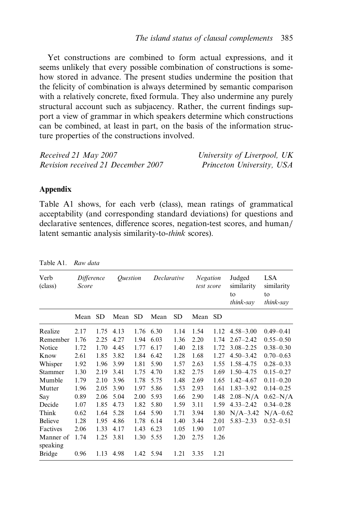Yet constructions are combined to form actual expressions, and it seems unlikely that every possible combination of constructions is somehow stored in advance. The present studies undermine the position that the felicity of combination is always determined by semantic comparison with a relatively concrete, fixed formula. They also undermine any purely structural account such as subjacency. Rather, the current findings support a view of grammar in which speakers determine which constructions can be combined, at least in part, on the basis of the information structure properties of the constructions involved.

| Received 21 May 2007               | University of Liverpool, UK |
|------------------------------------|-----------------------------|
| Revision received 21 December 2007 | Princeton University, USA   |

### Appendix

Table A1 shows, for each verb (class), mean ratings of grammatical acceptability (and corresponding standard deviations) for questions and declarative sentences, difference scores, negation-test scores, and human/ latent semantic analysis similarity-to-think scores).

| Verb<br>(class)       |      | Difference<br>Declarative<br><i><u><b>Ouestion</b></u></i><br>Score |      | <b>Negation</b><br>test score |           | Judged<br>similarity<br>to<br>think-say | <b>LSA</b><br>similarity<br>to<br>think-say |      |               |               |
|-----------------------|------|---------------------------------------------------------------------|------|-------------------------------|-----------|-----------------------------------------|---------------------------------------------|------|---------------|---------------|
|                       | Mean | SD                                                                  | Mean | SD                            | Mean      | SD                                      | Mean                                        | SD.  |               |               |
| Realize               | 2.17 | 1.75                                                                | 4.13 | 1.76                          | 6.30      | 1.14                                    | 1.54                                        | 1.12 | $4.58 - 3.00$ | $0.49 - 0.41$ |
| Remember              | 1.76 | 2.25                                                                | 4.27 | 1.94                          | 6.03      | 1.36                                    | 2.20                                        | 1.74 | $2.67 - 2.42$ | $0.55 - 0.50$ |
| Notice                | 1.72 | 1.70                                                                | 4.45 | 1.77                          | 6.17      | 1.40                                    | 2.18                                        | 1.72 | $3.08 - 2.25$ | $0.38 - 0.30$ |
| Know                  | 2.61 | 1.85                                                                | 3.82 | 1.84                          | 6.42      | 1.28                                    | 1.68                                        | 1.27 | $4.50 - 3.42$ | $0.70 - 0.63$ |
| Whisper               | 1.92 | 1.96                                                                | 3.99 | 1.81                          | 5.90      | 1.57                                    | 2.63                                        | 1.55 | 1.58–4.75     | $0.28 - 0.33$ |
| Stammer               | 1.30 | 2.19                                                                | 3.41 | 1.75                          | 4.70      | 1.82                                    | 2.75                                        | 1.69 | $1.50 - 4.75$ | $0.15 - 0.27$ |
| Mumble                | 1.79 | 2.10                                                                | 3.96 | 1.78                          | 5.75      | 1.48                                    | 2.69                                        | 1.65 | $1.42 - 4.67$ | $0.11 - 0.20$ |
| Mutter                | 1.96 | 2.05                                                                | 3.90 | 1.97                          | 5.86      | 1.53                                    | 2.93                                        | 1.61 | $1.83 - 3.92$ | $0.14 - 0.25$ |
| Say                   | 0.89 | 2.06                                                                | 5.04 | 2.00                          | 5.93      | 1.66                                    | 2.90                                        | 1.48 | $2.08-N/A$    | $0.62-N/A$    |
| Decide                | 1.07 | 1.85                                                                | 4.73 | 1.82                          | 5.80      | 1.59                                    | 3.11                                        | 1.59 | $4.33 - 2.42$ | $0.34 - 0.28$ |
| Think                 | 0.62 | 1.64                                                                | 5.28 | 1.64                          | 5.90      | 1.71                                    | 3.94                                        | 1.80 | $N/A - 3.42$  | $N/A - 0.62$  |
| <b>Believe</b>        | 1.28 | 1.95                                                                | 4.86 | 1.78                          | 6.14      | 1.40                                    | 3.44                                        | 2.01 | $5.83 - 2.33$ | $0.52 - 0.51$ |
| Factives              | 2.06 | 1.33                                                                | 4.17 | 1.43                          | 6.23      | 1.05                                    | 1.90                                        | 1.07 |               |               |
| Manner of<br>speaking | 1.74 | 1.25                                                                | 3.81 | 1.30                          | 5.55      | 1.20                                    | 2.75                                        | 1.26 |               |               |
| Bridge                | 0.96 | 1.13                                                                | 4.98 |                               | 1.42 5.94 | 1.21                                    | 3.35                                        | 1.21 |               |               |

Table A1. Raw data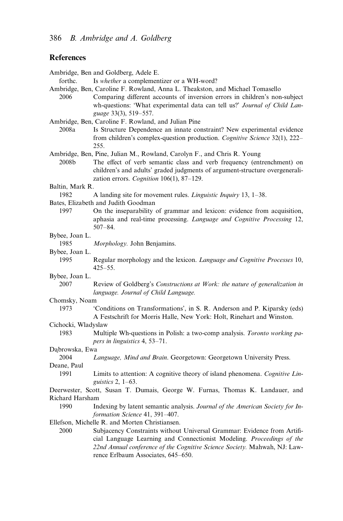## References

|                     | Ambridge, Ben and Goldberg, Adele E.                                                                                                                                                                                                                                |
|---------------------|---------------------------------------------------------------------------------------------------------------------------------------------------------------------------------------------------------------------------------------------------------------------|
| forthe.             | Is whether a complementizer or a WH-word?                                                                                                                                                                                                                           |
|                     | Ambridge, Ben, Caroline F. Rowland, Anna L. Theakston, and Michael Tomasello                                                                                                                                                                                        |
| 2006                | Comparing different accounts of inversion errors in children's non-subject<br>wh-questions: 'What experimental data can tell us?' Journal of Child Lan-<br>guage 33(3), 519-557.                                                                                    |
|                     | Ambridge, Ben, Caroline F. Rowland, and Julian Pine                                                                                                                                                                                                                 |
| 2008a               | Is Structure Dependence an innate constraint? New experimental evidence<br>from children's complex-question production. Cognitive Science 32(1), 222-<br>255.                                                                                                       |
|                     | Ambridge, Ben, Pine, Julian M., Rowland, Carolyn F., and Chris R. Young                                                                                                                                                                                             |
| 2008b               | The effect of verb semantic class and verb frequency (entrenchment) on<br>children's and adults' graded judgments of argument-structure overgenerali-<br>zation errors. Cognition 106(1), 87-129.                                                                   |
| Baltin, Mark R.     |                                                                                                                                                                                                                                                                     |
| 1982                | A landing site for movement rules. <i>Linguistic Inquiry</i> 13, 1–38.                                                                                                                                                                                              |
|                     | Bates, Elizabeth and Judith Goodman                                                                                                                                                                                                                                 |
| 1997                | On the inseparability of grammar and lexicon: evidence from acquisition,<br>aphasia and real-time processing. Language and Cognitive Processing 12,<br>$507 - 84.$                                                                                                  |
| Bybee, Joan L.      |                                                                                                                                                                                                                                                                     |
| 1985                | <i>Morphology</i> . John Benjamins.                                                                                                                                                                                                                                 |
| Bybee, Joan L.      |                                                                                                                                                                                                                                                                     |
| 1995                | Regular morphology and the lexicon. <i>Language and Cognitive Processes</i> 10,<br>$425 - 55$ .                                                                                                                                                                     |
| Bybee, Joan L.      |                                                                                                                                                                                                                                                                     |
| 2007                | Review of Goldberg's Constructions at Work: the nature of generalization in<br>language. Journal of Child Language.                                                                                                                                                 |
| Chomsky, Noam       |                                                                                                                                                                                                                                                                     |
| 1973                | 'Conditions on Transformations', in S. R. Anderson and P. Kiparsky (eds)<br>A Festschrift for Morris Halle, New York: Holt, Rinehart and Winston.                                                                                                                   |
| Cichocki, Wladyslaw |                                                                                                                                                                                                                                                                     |
| 1983                | Multiple Wh-questions in Polish: a two-comp analysis. Toronto working pa-<br>pers in linguistics 4, 53-71.                                                                                                                                                          |
| Dabrowska, Ewa      |                                                                                                                                                                                                                                                                     |
| 2004                | Language, Mind and Brain. Georgetown: Georgetown University Press.                                                                                                                                                                                                  |
| Deane, Paul         |                                                                                                                                                                                                                                                                     |
| 1991                | Limits to attention: A cognitive theory of island phenomena. Cognitive Lin-<br>guistics $2, 1-63$ .                                                                                                                                                                 |
|                     | Deerwester, Scott, Susan T. Dumais, George W. Furnas, Thomas K. Landauer, and                                                                                                                                                                                       |
| Richard Harsham     |                                                                                                                                                                                                                                                                     |
| 1990                | Indexing by latent semantic analysis. Journal of the American Society for In-<br>formation Science 41, 391-407.                                                                                                                                                     |
|                     | Ellefson, Michelle R. and Morten Christiansen.                                                                                                                                                                                                                      |
| 2000                | Subjacency Constraints without Universal Grammar: Evidence from Artifi-<br>cial Language Learning and Connectionist Modeling. Proceedings of the<br>22nd Annual conference of the Cognitive Science Society. Mahwah, NJ: Law-<br>rence Erlbaum Associates, 645–650. |
|                     |                                                                                                                                                                                                                                                                     |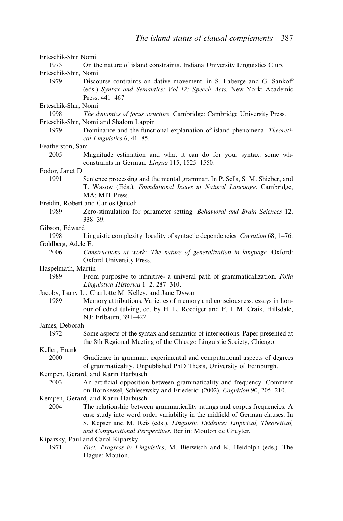| Erteschik-Shir Nomi  |                                                                                                                                                                                   |
|----------------------|-----------------------------------------------------------------------------------------------------------------------------------------------------------------------------------|
| 1973                 | On the nature of island constraints. Indiana University Linguistics Club.                                                                                                         |
| Erteschik-Shir, Nomi |                                                                                                                                                                                   |
| 1979                 | Discourse contraints on dative movement. in S. Laberge and G. Sankoff<br>(eds.) Syntax and Semantics: Vol 12: Speech Acts. New York: Academic<br>Press, 441-467.                  |
| Erteschik-Shir, Nomi |                                                                                                                                                                                   |
| 1998                 | The dynamics of focus structure. Cambridge: Cambridge University Press.                                                                                                           |
|                      | Erteschik-Shir, Nomi and Shalom Lappin                                                                                                                                            |
| 1979                 | Dominance and the functional explanation of island phenomena. Theoreti-<br>cal Linguistics $6, 41-85$ .                                                                           |
| Featherston, Sam     |                                                                                                                                                                                   |
| 2005                 | Magnitude estimation and what it can do for your syntax: some wh-<br>constraints in German. Lingua 115, 1525-1550.                                                                |
| Fodor, Janet D.      |                                                                                                                                                                                   |
| 1991                 | Sentence processing and the mental grammar. In P. Sells, S. M. Shieber, and<br>T. Wasow (Eds.), Foundational Issues in Natural Language. Cambridge,<br>MA: MIT Press.             |
|                      | Freidin, Robert and Carlos Quicoli                                                                                                                                                |
| 1989                 | Zero-stimulation for parameter setting. Behavioral and Brain Sciences 12,<br>$338 - 39.$                                                                                          |
| Gibson, Edward       |                                                                                                                                                                                   |
| 1998                 | Linguistic complexity: locality of syntactic dependencies. Cognition 68, 1–76.                                                                                                    |
| Goldberg, Adele E.   |                                                                                                                                                                                   |
| 2006                 | Constructions at work: The nature of generalization in language. Oxford:<br>Oxford University Press.                                                                              |
| Haspelmath, Martin   |                                                                                                                                                                                   |
| 1989                 | From purposive to infinitive- a univeral path of grammaticalization. <i>Folia</i><br>Linguistica Historica 1-2, 287-310.                                                          |
|                      | Jacoby, Larry L., Charlotte M. Kelley, and Jane Dywan                                                                                                                             |
| 1989                 | Memory attributions. Varieties of memory and consciousness: essays in hon-<br>our of ednel tulving, ed. by H. L. Roediger and F. I. M. Craik, Hillsdale,<br>NJ: Erlbaum, 391-422. |
| James, Deborah       |                                                                                                                                                                                   |
| 1972                 | Some aspects of the syntax and semantics of interjections. Paper presented at<br>the 8th Regional Meeting of the Chicago Linguistic Society, Chicago.                             |
| Keller, Frank        |                                                                                                                                                                                   |
| 2000                 | Gradience in grammar: experimental and computational aspects of degrees<br>of grammaticality. Unpublished PhD Thesis, University of Edinburgh.                                    |
|                      | Kempen, Gerard, and Karin Harbusch                                                                                                                                                |
| 2003                 | An artificial opposition between grammaticality and frequency: Comment<br>on Bornkessel, Schlesewsky and Friederici (2002). Cognition 90, 205-210.                                |
|                      | Kempen, Gerard, and Karin Harbusch                                                                                                                                                |
| 2004                 | The relationship between grammaticality ratings and corpus frequencies: A                                                                                                         |
|                      | case study into word order variability in the midfield of German clauses. In<br>S. Kepser and M. Reis (eds.), Linguistic Evidence: Empirical, Theoretical,                        |
|                      | and Computational Perspectives. Berlin: Mouton de Gruyter.                                                                                                                        |
| 1971                 | Kiparsky, Paul and Carol Kiparsky<br>Fact. Progress in Linguistics, M. Bierwisch and K. Heidolph (eds.). The<br>Hague: Mouton.                                                    |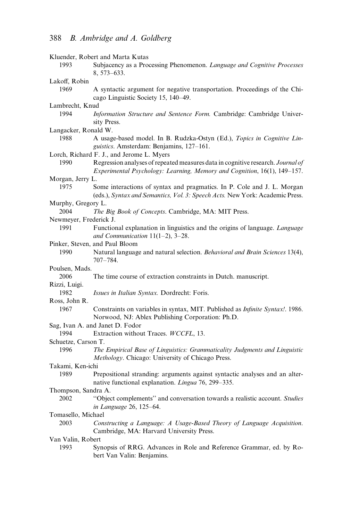|                        | Kluender, Robert and Marta Kutas                                                                                                                            |
|------------------------|-------------------------------------------------------------------------------------------------------------------------------------------------------------|
| 1993                   | Subjacency as a Processing Phenomenon. Language and Cognitive Processes<br>8, 573–633.                                                                      |
| Lakoff, Robin          |                                                                                                                                                             |
| 1969                   | A syntactic argument for negative transportation. Proceedings of the Chi-<br>cago Linguistic Society 15, 140–49.                                            |
| Lambrecht, Knud        |                                                                                                                                                             |
| 1994                   | Information Structure and Sentence Form. Cambridge: Cambridge Univer-<br>sity Press.                                                                        |
| Langacker, Ronald W.   |                                                                                                                                                             |
| 1988                   | A usage-based model. In B. Rudzka-Ostyn (Ed.), Topics in Cognitive Lin-<br>guistics. Amsterdam: Benjamins, 127-161.                                         |
|                        | Lorch, Richard F. J., and Jerome L. Myers                                                                                                                   |
| 1990                   | Regression analyses of repeated measures data in cognitive research. Journal of<br>Experimental Psychology: Learning, Memory and Cognition, 16(1), 149–157. |
| Morgan, Jerry L.       |                                                                                                                                                             |
| 1975                   | Some interactions of syntax and pragmatics. In P. Cole and J. L. Morgan<br>(eds.), Syntax and Semantics, Vol. 3: Speech Acts. New York: Academic Press.     |
| Murphy, Gregory L.     |                                                                                                                                                             |
| 2004                   | The Big Book of Concepts. Cambridge, MA: MIT Press.                                                                                                         |
| Newmeyer, Frederick J. |                                                                                                                                                             |
| 1991                   | Functional explanation in linguistics and the origins of language. Language<br>and Communication $11(1-2)$ , 3-28.                                          |
|                        | Pinker, Steven, and Paul Bloom                                                                                                                              |
| 1990                   | Natural language and natural selection. Behavioral and Brain Sciences 13(4),<br>$707 - 784.$                                                                |
| Poulsen, Mads.         |                                                                                                                                                             |
| 2006                   | The time course of extraction constraints in Dutch, manuscript.                                                                                             |
| Rizzi, Luigi.          |                                                                                                                                                             |
| 1982                   | Issues in Italian Syntax. Dordrecht: Foris.                                                                                                                 |
| Ross, John R.          |                                                                                                                                                             |
| 1967                   | Constraints on variables in syntax, MIT. Published as <i>Infinite Syntax!</i> . 1986.<br>Norwood, NJ: Ablex Publishing Corporation: Ph.D.                   |
|                        | Sag, Ivan A. and Janet D. Fodor                                                                                                                             |
| 1994                   | Extraction without Traces. WCCFL, 13.                                                                                                                       |
| Schuetze, Carson T.    |                                                                                                                                                             |
| 1996                   | The Empirical Base of Linguistics: Grammaticality Judgments and Linguistic<br>Methology. Chicago: University of Chicago Press.                              |
| Takami, Ken-ichi       |                                                                                                                                                             |
| 1989                   | Prepositional stranding: arguments against syntactic analyses and an alter-<br>native functional explanation. <i>Lingua</i> 76, 299–335.                    |
| Thompson, Sandra A.    |                                                                                                                                                             |
| 2002                   | "Object complements" and conversation towards a realistic account. Studies<br>in Language 26, 125-64.                                                       |
| Tomasello, Michael     |                                                                                                                                                             |
| 2003                   | Constructing a Language: A Usage-Based Theory of Language Acquisition.<br>Cambridge, MA: Harvard University Press.                                          |
| Van Valin, Robert      |                                                                                                                                                             |
| 1993                   | Synopsis of RRG. Advances in Role and Reference Grammar, ed. by Ro-<br>bert Van Valin: Benjamins.                                                           |